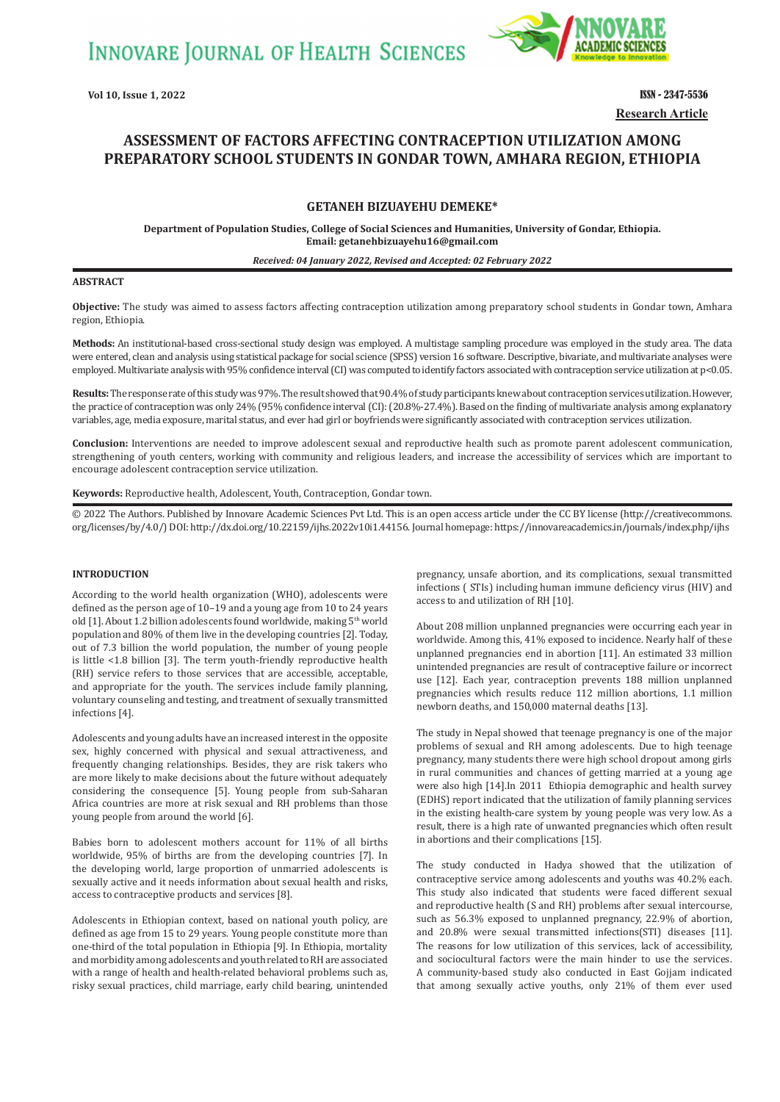

**Research Article**

# **ASSESSMENT OF FACTORS AFFECTING CONTRACEPTION UTILIZATION AMONG PREPARATORY SCHOOL STUDENTS IN GONDAR TOWN, AMHARA REGION, ETHIOPIA**

# **GETANEH BIZUAYEHU DEMEKE\***

**Department of Population Studies, College of Social Sciences and Humanities, University of Gondar, Ethiopia. Email: getanehbizuayehu16@gmail.com**

### *Received: 04 January 2022, Revised and Accepted: 02 February 2022*

### **ABSTRACT**

**Objective:** The study was aimed to assess factors affecting contraception utilization among preparatory school students in Gondar town, Amhara region, Ethiopia.

**Methods:** An institutional-based cross-sectional study design was employed. A multistage sampling procedure was employed in the study area. The data were entered, clean and analysis using statistical package for social science (SPSS) version 16 software. Descriptive, bivariate, and multivariate analyses were employed. Multivariate analysis with 95% confidence interval (CI) was computed to identify factors associated with contraception service utilization at p<0.05.

**Results:** The response rate of this study was 97%. The result showed that 90.4% of study participants knew about contraception services utilization. However, the practice of contraception was only 24% (95% confidence interval (CI): (20.8%-27.4%). Based on the finding of multivariate analysis among explanatory variables, age, media exposure, marital status, and ever had girl or boyfriends were significantly associated with contraception services utilization.

**Conclusion:** Interventions are needed to improve adolescent sexual and reproductive health such as promote parent adolescent communication, strengthening of youth centers, working with community and religious leaders, and increase the accessibility of services which are important to encourage adolescent contraception service utilization.

**Keywords:** Reproductive health, Adolescent, Youth, Contraception, Gondar town.

© 2022 The Authors. Published by Innovare Academic Sciences Pvt Ltd. This is an open access article under the CC BY license (http://creativecommons. org/licenses/by/4.0/) DOI: http://dx.doi.org/10.22159/ijhs.2022v10i1.44156. Journal homepage: https://innovareacademics.in/journals/index.php/ijhs

# **INTRODUCTION**

According to the world health organization (WHO), adolescents were defined as the person age of 10–19 and a young age from 10 to 24 years old [1]. About 1.2 billion adolescents found worldwide, making 5<sup>th</sup> world population and 80% of them live in the developing countries [2]. Today, out of 7.3 billion the world population, the number of young people is little <1.8 billion [3]. The term youth-friendly reproductive health (RH) service refers to those services that are accessible, acceptable, and appropriate for the youth. The services include family planning, voluntary counseling and testing, and treatment of sexually transmitted infections [4].

Adolescents and young adults have an increased interest in the opposite sex, highly concerned with physical and sexual attractiveness, and frequently changing relationships. Besides, they are risk takers who are more likely to make decisions about the future without adequately considering the consequence [5]. Young people from sub-Saharan Africa countries are more at risk sexual and RH problems than those young people from around the world [6].

Babies born to adolescent mothers account for 11% of all births worldwide, 95% of births are from the developing countries [7]. In the developing world, large proportion of unmarried adolescents is sexually active and it needs information about sexual health and risks, access to contraceptive products and services [8].

Adolescents in Ethiopian context, based on national youth policy, are defined as age from 15 to 29 years. Young people constitute more than one-third of the total population in Ethiopia [9]. In Ethiopia, mortality and morbidity among adolescents and youth related to RH are associated with a range of health and health-related behavioral problems such as, risky sexual practices, child marriage, early child bearing, unintended

pregnancy, unsafe abortion, and its complications, sexual transmitted infections ( STIs) including human immune deficiency virus (HIV) and access to and utilization of RH [10].

About 208 million unplanned pregnancies were occurring each year in worldwide. Among this, 41% exposed to incidence. Nearly half of these unplanned pregnancies end in abortion [11]. An estimated 33 million unintended pregnancies are result of contraceptive failure or incorrect use [12]. Each year, contraception prevents 188 million unplanned pregnancies which results reduce 112 million abortions, 1.1 million newborn deaths, and 150,000 maternal deaths [13].

The study in Nepal showed that teenage pregnancy is one of the major problems of sexual and RH among adolescents. Due to high teenage pregnancy, many students there were high school dropout among girls in rural communities and chances of getting married at a young age were also high [14].In 2011 Ethiopia demographic and health survey (EDHS) report indicated that the utilization of family planning services in the existing health-care system by young people was very low. As a result, there is a high rate of unwanted pregnancies which often result in abortions and their complications [15].

The study conducted in Hadya showed that the utilization of contraceptive service among adolescents and youths was 40.2% each. This study also indicated that students were faced different sexual and reproductive health (S and RH) problems after sexual intercourse, such as 56.3% exposed to unplanned pregnancy, 22.9% of abortion, and 20.8% were sexual transmitted infections(STI) diseases [11]. The reasons for low utilization of this services, lack of accessibility, and sociocultural factors were the main hinder to use the services. A community-based study also conducted in East Gojjam indicated that among sexually active youths, only 21% of them ever used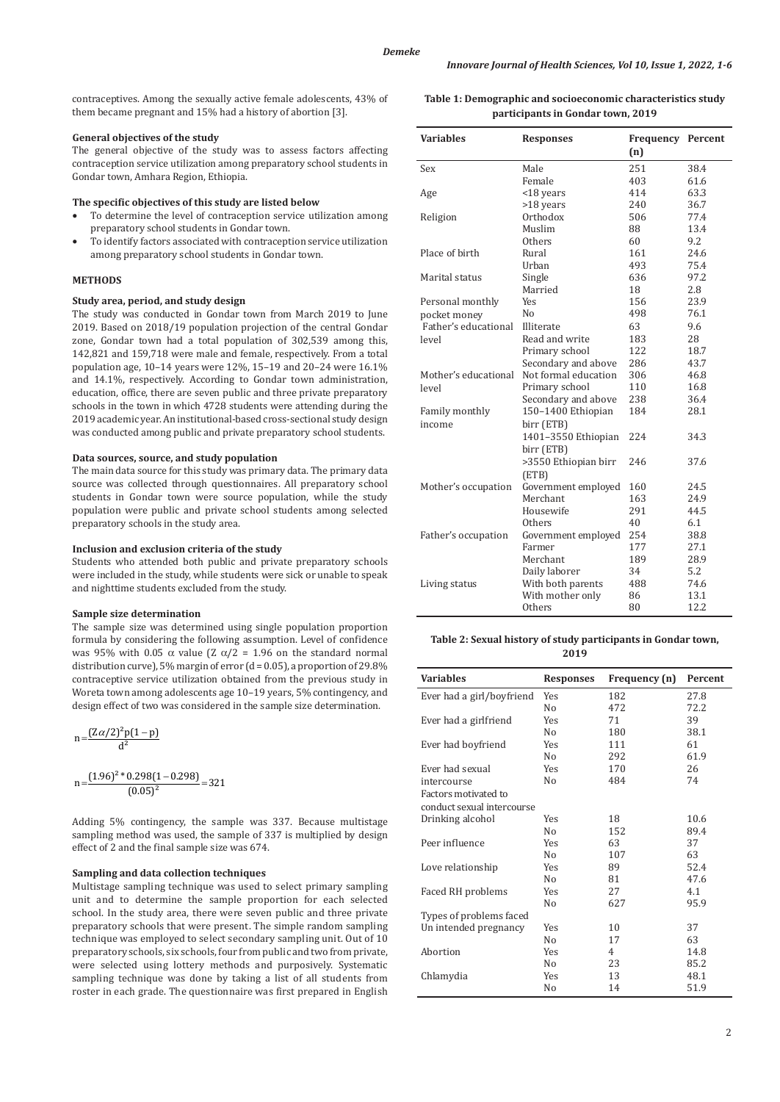contraceptives. Among the sexually active female adolescents, 43% of them became pregnant and 15% had a history of abortion [3].

# **General objectives of the study**

The general objective of the study was to assess factors affecting contraception service utilization among preparatory school students in Gondar town, Amhara Region, Ethiopia.

## **The specific objectives of this study are listed below**

- To determine the level of contraception service utilization among preparatory school students in Gondar town.
- To identify factors associated with contraception service utilization among preparatory school students in Gondar town.

# **METHODS**

### **Study area, period, and study design**

The study was conducted in Gondar town from March 2019 to June 2019. Based on 2018/19 population projection of the central Gondar zone, Gondar town had a total population of 302,539 among this, 142,821 and 159,718 were male and female, respectively. From a total population age, 10–14 years were 12%, 15–19 and 20–24 were 16.1% and 14.1%, respectively. According to Gondar town administration, education, office, there are seven public and three private preparatory schools in the town in which 4728 students were attending during the 2019 academic year. An institutional-based cross-sectional study design was conducted among public and private preparatory school students.

### **Data sources, source, and study population**

The main data source for this study was primary data. The primary data source was collected through questionnaires. All preparatory school students in Gondar town were source population, while the study population were public and private school students among selected preparatory schools in the study area.

### **Inclusion and exclusion criteria of the study**

Students who attended both public and private preparatory schools were included in the study, while students were sick or unable to speak and nighttime students excluded from the study.

### **Sample size determination**

The sample size was determined using single population proportion formula by considering the following assumption. Level of confidence was 95% with 0.05  $\alpha$  value (Z  $\alpha/2$  = 1.96 on the standard normal distribution curve), 5% margin of error (d = 0.05), a proportion of 29.8% contraceptive service utilization obtained from the previous study in Woreta town among adolescents age 10–19 years, 5% contingency, and design effect of two was considered in the sample size determination.

$$
n = \frac{(Z\alpha/2)^2 p(1-p)}{d^2}
$$
  

$$
n = \frac{(1.96)^2 * 0.298(1-0.298)}{0.053} = 321
$$

 $(0.05)^2$ 

Adding 5% contingency, the sample was 337. Because multistage sampling method was used, the sample of 337 is multiplied by design effect of 2 and the final sample size was 674.

### **Sampling and data collection techniques**

Multistage sampling technique was used to select primary sampling unit and to determine the sample proportion for each selected school. In the study area, there were seven public and three private preparatory schools that were present. The simple random sampling technique was employed to select secondary sampling unit. Out of 10 preparatory schools, six schools, four from public and two from private, were selected using lottery methods and purposively. Systematic sampling technique was done by taking a list of all students from roster in each grade. The questionnaire was first prepared in English **Table 1: Demographic and socioeconomic characteristics study participants in Gondar town, 2019**

| <b>Variables</b>     | <b>Responses</b>     | Frequency | Percent |  |
|----------------------|----------------------|-----------|---------|--|
|                      |                      | (n)       |         |  |
| Sex                  | Male                 | 251       | 38.4    |  |
|                      | Female               | 403       | 61.6    |  |
| Age                  | <18 years            | 414       | 63.3    |  |
|                      | >18 years            | 240       | 36.7    |  |
| Religion             | Orthodox             | 506       | 77.4    |  |
|                      | Muslim               | 88        | 13.4    |  |
|                      | Others               | 60        | 9.2     |  |
| Place of birth       | Rural                | 161       | 24.6    |  |
|                      | Urban                | 493       | 75.4    |  |
| Marital status       | Single               | 636       | 97.2    |  |
|                      | Married              | 18        | 2.8     |  |
| Personal monthly     | Yes                  | 156       | 23.9    |  |
| pocket money         | No                   | 498       | 76.1    |  |
| Father's educational | Illiterate           | 63        | 9.6     |  |
| level                | Read and write       | 183       | 28      |  |
|                      | Primary school       | 122       | 18.7    |  |
|                      | Secondary and above  | 286       | 43.7    |  |
| Mother's educational | Not formal education | 306       | 46.8    |  |
| level                | Primary school       | 110       | 16.8    |  |
|                      | Secondary and above  | 238       | 36.4    |  |
| Family monthly       | 150-1400 Ethiopian   | 184       | 28.1    |  |
| income               | birr (ETB)           |           |         |  |
|                      | 1401-3550 Ethiopian  | 224       | 34.3    |  |
|                      | birr (ETB)           |           |         |  |
|                      | >3550 Ethiopian birr | 246       | 37.6    |  |
|                      | (ETB)                |           |         |  |
| Mother's occupation  | Government employed  | 160       | 24.5    |  |
|                      | Merchant             | 163       | 24.9    |  |
|                      | Housewife            | 291       | 44.5    |  |
|                      | Others               | 40        | 6.1     |  |
| Father's occupation  | Government employed  | 254       | 38.8    |  |
|                      | Farmer               | 177       | 27.1    |  |
|                      | Merchant             | 189       | 28.9    |  |
|                      | Daily laborer        | 34        | 5.2     |  |
| Living status        | With both parents    | 488       | 74.6    |  |
|                      | With mother only     | 86        | 13.1    |  |
|                      | Others               | 80        | 12.2    |  |

# **Table 2: Sexual history of study participants in Gondar town, 2019**

| <b>Variables</b>           | <b>Responses</b> | Frequency (n) | Percent |
|----------------------------|------------------|---------------|---------|
| Ever had a girl/boyfriend  | <b>Yes</b>       | 182           | 27.8    |
|                            | N <sub>0</sub>   | 472           | 72.2    |
| Ever had a girlfriend      | Yes              | 71            | 39      |
|                            | No               | 180           | 38.1    |
| Ever had boyfriend         | Yes              | 111           | 61      |
|                            | No               | 292           | 61.9    |
| Ever had sexual            | Yes              | 170           | 26      |
| intercourse                | No               | 484           | 74      |
| Factors motivated to       |                  |               |         |
| conduct sexual intercourse |                  |               |         |
| Drinking alcohol           | Yes              | 18            | 10.6    |
|                            | No               | 152           | 89.4    |
| Peer influence             | <b>Yes</b>       | 63            | 37      |
|                            | No               | 107           | 63      |
| Love relationship          | Yes              | 89            | 52.4    |
|                            | No               | 81            | 47.6    |
| Faced RH problems          | Yes              | 27            | 4.1     |
|                            | No               | 627           | 95.9    |
| Types of problems faced    |                  |               |         |
| Un intended pregnancy      | <b>Yes</b>       | 10            | 37      |
|                            | No               | 17            | 63      |
| Abortion                   | Yes              | 4             | 14.8    |
|                            | No               | 23            | 85.2    |
| Chlamydia                  | Yes              | 13            | 48.1    |
|                            | No               | 14            | 51.9    |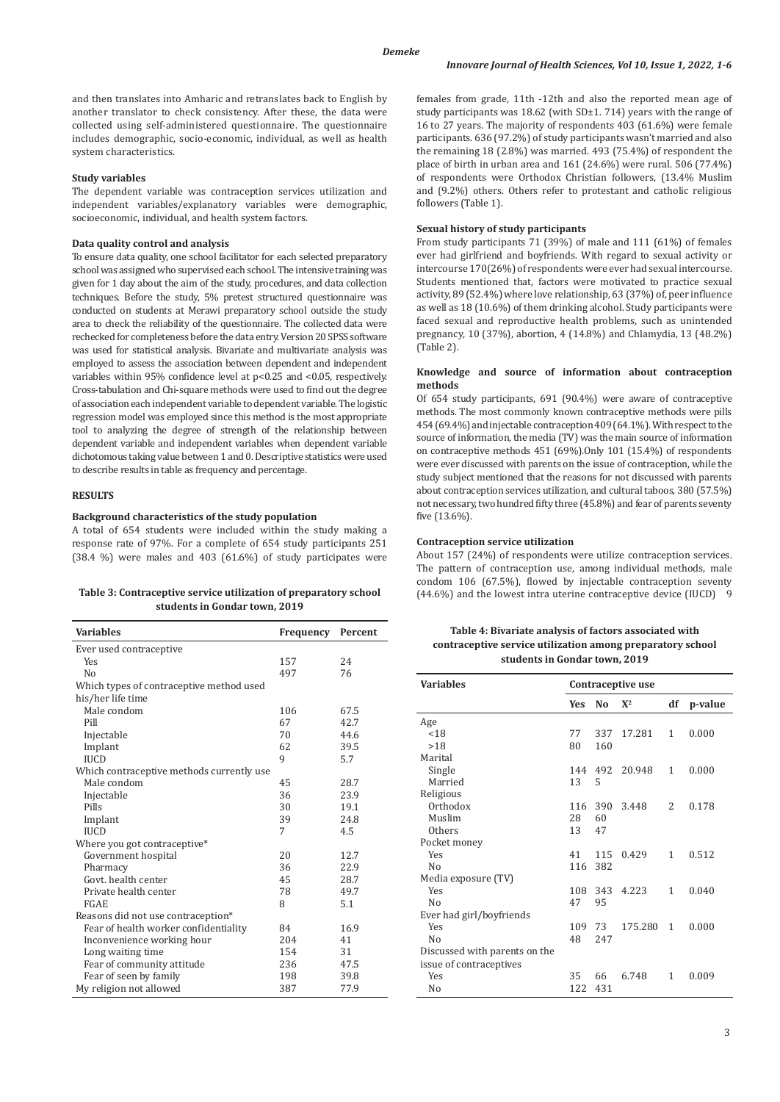and then translates into Amharic and retranslates back to English by another translator to check consistency. After these, the data were collected using self-administered questionnaire. The questionnaire includes demographic, socio-economic, individual, as well as health system characteristics.

### **Study variables**

The dependent variable was contraception services utilization and independent variables/explanatory variables were demographic, socioeconomic, individual, and health system factors.

### **Data quality control and analysis**

To ensure data quality, one school facilitator for each selected preparatory school was assigned who supervised each school. The intensive training was given for 1 day about the aim of the study, procedures, and data collection techniques. Before the study, 5% pretest structured questionnaire was conducted on students at Merawi preparatory school outside the study area to check the reliability of the questionnaire. The collected data were rechecked for completeness before the data entry. Version 20 SPSS software was used for statistical analysis. Bivariate and multivariate analysis was employed to assess the association between dependent and independent variables within 95% confidence level at p<0.25 and <0.05, respectively. Cross-tabulation and Chi-square methods were used to find out the degree of association each independent variable to dependent variable. The logistic regression model was employed since this method is the most appropriate tool to analyzing the degree of strength of the relationship between dependent variable and independent variables when dependent variable dichotomous taking value between 1 and 0. Descriptive statistics were used to describe results in table as frequency and percentage.

# **RESULTS**

### **Background characteristics of the study population**

A total of 654 students were included within the study making a response rate of 97%. For a complete of 654 study participants 251 (38.4 %) were males and 403 (61.6%) of study participates were

| Table 3: Contraceptive service utilization of preparatory school |  |
|------------------------------------------------------------------|--|
| students in Gondar town. 2019                                    |  |

| <b>Variables</b>                          | Frequency | Percent |  |  |
|-------------------------------------------|-----------|---------|--|--|
| Ever used contraceptive                   |           |         |  |  |
| <b>Yes</b>                                | 157       | 24      |  |  |
| No                                        | 497       | 76      |  |  |
| Which types of contraceptive method used  |           |         |  |  |
| his/her life time                         |           |         |  |  |
| Male condom                               | 106       | 67.5    |  |  |
| Pill                                      | 67        | 42.7    |  |  |
| Injectable                                | 70        | 44.6    |  |  |
| Implant                                   | 62        | 39.5    |  |  |
| <b>IUCD</b>                               | 9         | 5.7     |  |  |
| Which contraceptive methods currently use |           |         |  |  |
| Male condom                               | 45        | 28.7    |  |  |
| Injectable                                | 36        | 23.9    |  |  |
| Pills                                     | 30        | 19.1    |  |  |
| Implant                                   | 39        | 24.8    |  |  |
| <b>IUCD</b>                               | 7         | 4.5     |  |  |
| Where you got contraceptive*              |           |         |  |  |
| Government hospital                       | 20        | 12.7    |  |  |
| Pharmacy                                  | 36        | 22.9    |  |  |
| Goyt, health center                       | 45        | 28.7    |  |  |
| Private health center                     | 78        | 49.7    |  |  |
| FGAE                                      | 8         | 5.1     |  |  |
| Reasons did not use contraception*        |           |         |  |  |
| Fear of health worker confidentiality     | 84        | 16.9    |  |  |
| Inconvenience working hour                | 204       | 41      |  |  |
| Long waiting time                         | 154       | 31      |  |  |
| Fear of community attitude                | 236       | 47.5    |  |  |
| Fear of seen by family                    | 198       | 39.8    |  |  |
| My religion not allowed                   | 387       | 77.9    |  |  |

females from grade, 11th -12th and also the reported mean age of study participants was 18.62 (with SD±1. 714) years with the range of 16 to 27 years. The majority of respondents 403 (61.6%) were female participants. 636 (97.2%) of study participants wasn't married and also the remaining 18 (2.8%) was married. 493 (75.4%) of respondent the place of birth in urban area and 161 (24.6%) were rural. 506 (77.4%) of respondents were Orthodox Christian followers, (13.4% Muslim and (9.2%) others. Others refer to protestant and catholic religious followers (Table 1).

# **Sexual history of study participants**

From study participants 71 (39%) of male and 111 (61%) of females ever had girlfriend and boyfriends. With regard to sexual activity or intercourse 170(26%) of respondents were ever had sexual intercourse. Students mentioned that, factors were motivated to practice sexual activity, 89 (52.4%) where love relationship, 63 (37%) of, peer influence as well as 18 (10.6%) of them drinking alcohol. Study participants were faced sexual and reproductive health problems, such as unintended pregnancy, 10 (37%), abortion, 4 (14.8%) and Chlamydia, 13 (48.2%) (Table 2).

# **Knowledge and source of information about contraception methods**

Of 654 study participants, 691 (90.4%) were aware of contraceptive methods. The most commonly known contraceptive methods were pills 454 (69.4%) and injectable contraception 409 (64.1%). With respect to the source of information, the media (TV) was the main source of information on contraceptive methods 451 (69%).Only 101 (15.4%) of respondents were ever discussed with parents on the issue of contraception, while the study subject mentioned that the reasons for not discussed with parents about contraception services utilization, and cultural taboos, 380 (57.5%) not necessary, two hundred fifty three (45.8%) and fear of parents seventy five (13.6%).

### **Contraception service utilization**

About 157 (24%) of respondents were utilize contraception services. The pattern of contraception use, among individual methods, male condom 106 (67.5%), flowed by injectable contraception seventy **(44.6%)** and the lowest intra uterine contraceptive device (IUCD) 9

# **Table 4: Bivariate analysis of factors associated with contraceptive service utilization among preparatory school students in Gondar town, 2019**

| <b>Variables</b>              | Contraceptive use |                |         |               |         |
|-------------------------------|-------------------|----------------|---------|---------------|---------|
|                               | <b>Yes</b>        | N <sub>0</sub> | $X^2$   | df            | p-value |
| Age                           |                   |                |         |               |         |
| $<$ 18                        | 77                | 337            | 17.281  | $\mathbf{1}$  | 0.000   |
| >18                           | 80                | 160            |         |               |         |
| Marital                       |                   |                |         |               |         |
| Single                        | 144               | 492            | 20.948  | $\mathbf{1}$  | 0.000   |
| Married                       | 13                | 5              |         |               |         |
| Religious                     |                   |                |         |               |         |
| Orthodox                      | 116               | 390            | 3.448   | $\mathcal{L}$ | 0.178   |
| Muslim                        | 28                | 60             |         |               |         |
| Others                        | 13                | 47             |         |               |         |
| Pocket money                  |                   |                |         |               |         |
| Yes                           | 41                | 115            | 0.429   | $\mathbf{1}$  | 0.512   |
| No                            | 116               | 382            |         |               |         |
| Media exposure (TV)           |                   |                |         |               |         |
| <b>Yes</b>                    | 108               | 343            | 4.223   | $\mathbf{1}$  | 0.040   |
| No                            | 47                | 95             |         |               |         |
| Ever had girl/boyfriends      |                   |                |         |               |         |
| <b>Yes</b>                    | 109               | 73             | 175.280 | $\mathbf{1}$  | 0.000   |
| No                            | 48                | 2.47           |         |               |         |
| Discussed with parents on the |                   |                |         |               |         |
| issue of contraceptives       |                   |                |         |               |         |
| <b>Yes</b>                    | 35                | 66             | 6.748   | $\mathbf{1}$  | 0.009   |
| No                            | 122               | 431            |         |               |         |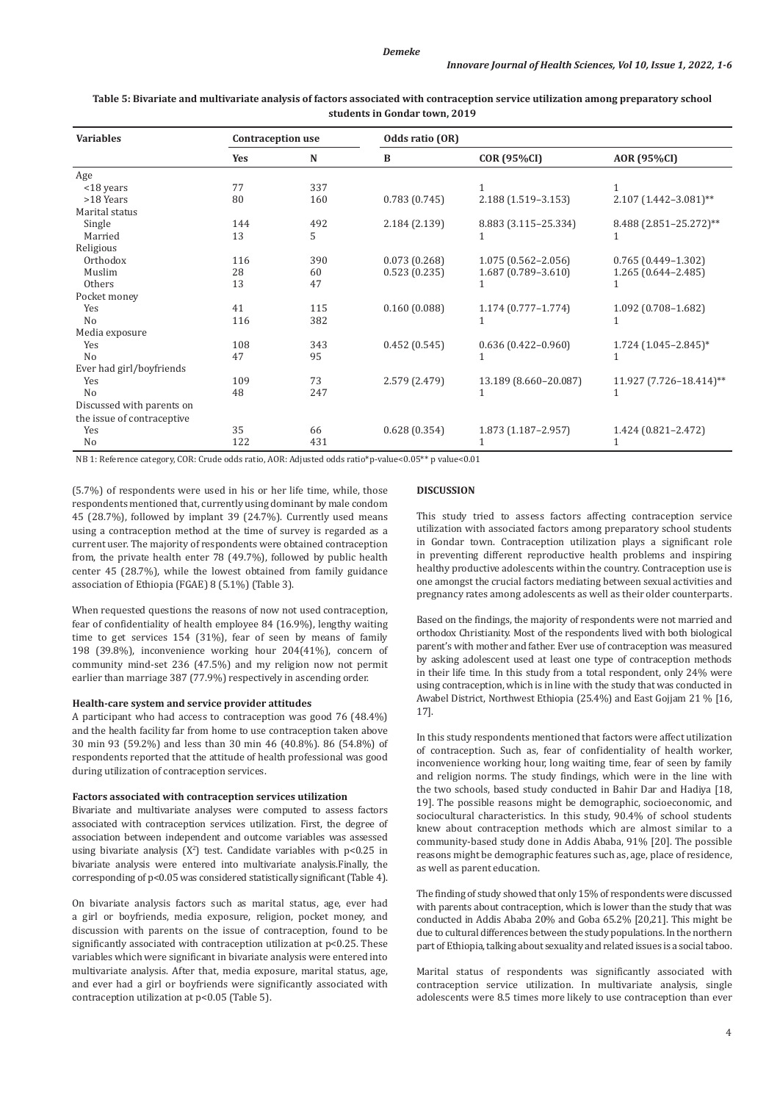| Table 5: Bivariate and multivariate analysis of factors associated with contraception service utilization among preparatory school |
|------------------------------------------------------------------------------------------------------------------------------------|
| students in Gondar town, 2019                                                                                                      |

| <b>Variables</b>           | <b>Contraception use</b> |     | Odds ratio (OR) |                        |                         |
|----------------------------|--------------------------|-----|-----------------|------------------------|-------------------------|
|                            | <b>Yes</b>               | N   | B               | <b>COR (95%CI)</b>     | AOR (95%CI)             |
| Age                        |                          |     |                 |                        |                         |
| $<$ 18 years               | 77                       | 337 |                 |                        |                         |
| >18 Years                  | 80                       | 160 | 0.783(0.745)    | 2.188 (1.519-3.153)    | 2.107 (1.442-3.081)**   |
| Marital status             |                          |     |                 |                        |                         |
| Single                     | 144                      | 492 | 2.184 (2.139)   | 8.883 (3.115-25.334)   | 8.488 (2.851-25.272)**  |
| Married                    | 13                       | 5   |                 |                        |                         |
| Religious                  |                          |     |                 |                        |                         |
| Orthodox                   | 116                      | 390 | 0.073(0.268)    | 1.075 (0.562-2.056)    | $0.765(0.449 - 1.302)$  |
| Muslim                     | 28                       | 60  | 0.523(0.235)    | $1.687(0.789 - 3.610)$ | $1.265(0.644 - 2.485)$  |
| Others                     | 13                       | 47  |                 |                        | -1                      |
| Pocket money               |                          |     |                 |                        |                         |
| Yes                        | 41                       | 115 | 0.160(0.088)    | $1.174(0.777 - 1.774)$ | $1.092(0.708 - 1.682)$  |
| No                         | 116                      | 382 |                 |                        |                         |
| Media exposure             |                          |     |                 |                        |                         |
| Yes                        | 108                      | 343 | 0.452(0.545)    | $0.636(0.422 - 0.960)$ | $1.724$ (1.045-2.845)*  |
| No                         | 47                       | 95  |                 |                        |                         |
| Ever had girl/boyfriends   |                          |     |                 |                        |                         |
| Yes                        | 109                      | 73  | 2.579 (2.479)   | 13.189 (8.660-20.087)  | 11.927 (7.726-18.414)** |
| No                         | 48                       | 247 |                 |                        |                         |
| Discussed with parents on  |                          |     |                 |                        |                         |
| the issue of contraceptive |                          |     |                 |                        |                         |
| Yes                        | 35                       | 66  | 0.628(0.354)    | 1.873 (1.187-2.957)    | 1.424 (0.821-2.472)     |
| N <sub>0</sub>             | 122                      | 431 |                 |                        |                         |

NB 1: Reference category, COR: Crude odds ratio, AOR: Adjusted odds ratio\*p-value<0.05\*\* p value<0.01

(5.7%) of respondents were used in his or her life time, while, those respondents mentioned that, currently using dominant by male condom 45 (28.7%), followed by implant 39 (24.7%). Currently used means using a contraception method at the time of survey is regarded as a current user. The majority of respondents were obtained contraception from, the private health enter 78 (49.7%), followed by public health center 45 (28.7%), while the lowest obtained from family guidance association of Ethiopia (FGAE) 8 (5.1%) (Table 3).

When requested questions the reasons of now not used contraception. fear of confidentiality of health employee 84 (16.9%), lengthy waiting time to get services 154 (31%), fear of seen by means of family 198 (39.8%), inconvenience working hour 204(41%), concern of community mind-set 236 (47.5%) and my religion now not permit earlier than marriage 387 (77.9%) respectively in ascending order.

#### **Health-care system and service provider attitudes**

A participant who had access to contraception was good 76 (48.4%) and the health facility far from home to use contraception taken above 30 min 93 (59.2%) and less than 30 min 46 (40.8%). 86 (54.8%) of respondents reported that the attitude of health professional was good during utilization of contraception services.

### **Factors associated with contraception services utilization**

Bivariate and multivariate analyses were computed to assess factors associated with contraception services utilization. First, the degree of association between independent and outcome variables was assessed using bivariate analysis  $(X^2)$  test. Candidate variables with  $p<0.25$  in bivariate analysis were entered into multivariate analysis.Finally, the corresponding of p<0.05 was considered statistically significant (Table 4).

On bivariate analysis factors such as marital status, age, ever had a girl or boyfriends, media exposure, religion, pocket money, and discussion with parents on the issue of contraception, found to be significantly associated with contraception utilization at p<0.25. These variables which were significant in bivariate analysis were entered into multivariate analysis. After that, media exposure, marital status, age, and ever had a girl or boyfriends were significantly associated with contraception utilization at p<0.05 (Table 5).

# **DISCUSSION**

This study tried to assess factors affecting contraception service utilization with associated factors among preparatory school students in Gondar town. Contraception utilization plays a significant role in preventing different reproductive health problems and inspiring healthy productive adolescents within the country. Contraception use is one amongst the crucial factors mediating between sexual activities and pregnancy rates among adolescents as well as their older counterparts.

Based on the findings, the majority of respondents were not married and orthodox Christianity. Most of the respondents lived with both biological parent's with mother and father. Ever use of contraception was measured by asking adolescent used at least one type of contraception methods in their life time. In this study from a total respondent, only 24% were using contraception, which is in line with the study that was conducted in Awabel District, Northwest Ethiopia (25.4%) and East Gojjam 21 % [16, 17].

In this study respondents mentioned that factors were affect utilization of contraception. Such as, fear of confidentiality of health worker, inconvenience working hour, long waiting time, fear of seen by family and religion norms. The study findings, which were in the line with the two schools, based study conducted in Bahir Dar and Hadiya [18, 19]. The possible reasons might be demographic, socioeconomic, and sociocultural characteristics. In this study, 90.4% of school students knew about contraception methods which are almost similar to a community-based study done in Addis Ababa, 91% [20]. The possible reasons might be demographic features such as, age, place of residence, as well as parent education.

The finding of study showed that only 15% of respondents were discussed with parents about contraception, which is lower than the study that was conducted in Addis Ababa 20% and Goba 65.2% [20,21]. This might be due to cultural differences between the study populations. In the northern part of Ethiopia, talking about sexuality and related issues is a social taboo.

Marital status of respondents was significantly associated with contraception service utilization. In multivariate analysis, single adolescents were 8.5 times more likely to use contraception than ever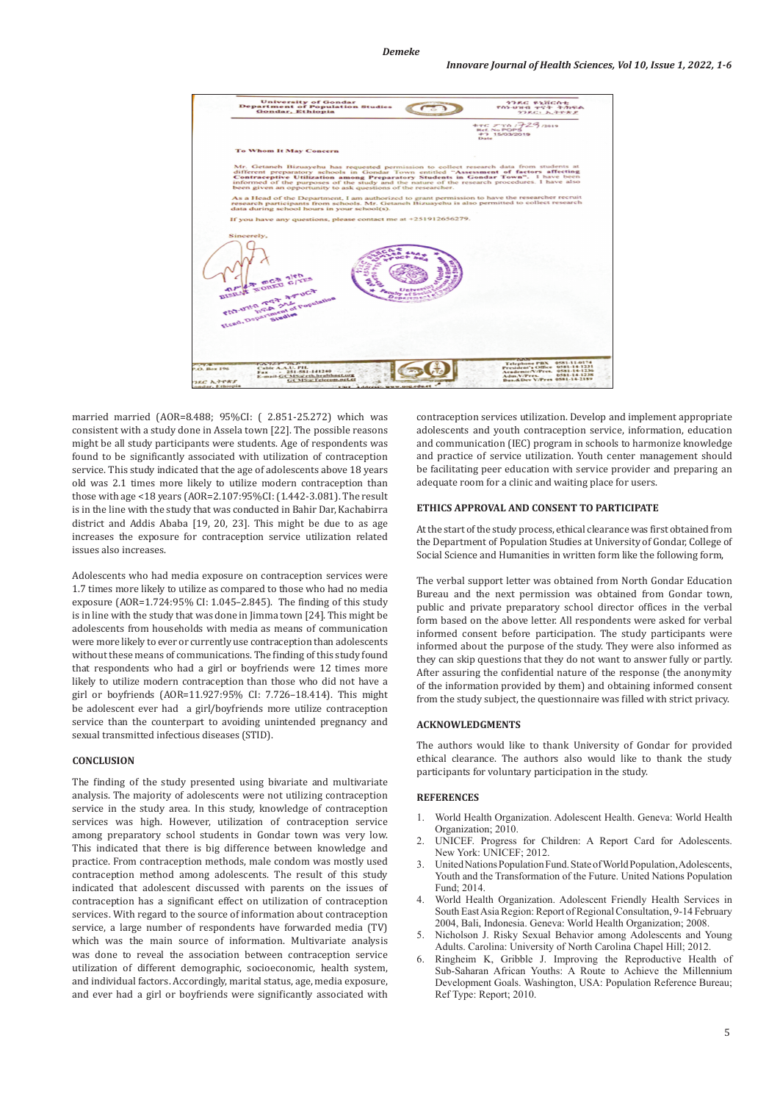### *Demeke*



married married (AOR=8.488; 95%CI: ( 2.851-25.272) which was consistent with a study done in Assela town [22]. The possible reasons might be all study participants were students. Age of respondents was found to be significantly associated with utilization of contraception service. This study indicated that the age of adolescents above 18 years old was 2.1 times more likely to utilize modern contraception than those with age <18 years (AOR=2.107:95%CI: (1.442-3.081). The result is in the line with the study that was conducted in Bahir Dar, Kachabirra district and Addis Ababa [19, 20, 23]. This might be due to as age increases the exposure for contraception service utilization related issues also increases.

Adolescents who had media exposure on contraception services were 1.7 times more likely to utilize as compared to those who had no media exposure (AOR=1.724:95% CI: 1.045–2.845). The finding of this study is in line with the study that was done in Jimma town [24]. This might be adolescents from households with media as means of communication were more likely to ever or currently use contraception than adolescents without these means of communications. The finding of this study found that respondents who had a girl or boyfriends were 12 times more likely to utilize modern contraception than those who did not have a girl or boyfriends (AOR=11.927:95% CI: 7.726–18.414). This might be adolescent ever had a girl/boyfriends more utilize contraception service than the counterpart to avoiding unintended pregnancy and sexual transmitted infectious diseases (STID).

# **CONCLUSION**

The finding of the study presented using bivariate and multivariate analysis. The majority of adolescents were not utilizing contraception service in the study area. In this study, knowledge of contraception services was high. However, utilization of contraception service among preparatory school students in Gondar town was very low. This indicated that there is big difference between knowledge and practice. From contraception methods, male condom was mostly used contraception method among adolescents. The result of this study indicated that adolescent discussed with parents on the issues of contraception has a significant effect on utilization of contraception services. With regard to the source of information about contraception service, a large number of respondents have forwarded media (TV) which was the main source of information. Multivariate analysis was done to reveal the association between contraception service utilization of different demographic, socioeconomic, health system, and individual factors. Accordingly, marital status, age, media exposure, and ever had a girl or boyfriends were significantly associated with

contraception services utilization. Develop and implement appropriate adolescents and youth contraception service, information, education and communication (IEC) program in schools to harmonize knowledge and practice of service utilization. Youth center management should be facilitating peer education with service provider and preparing an adequate room for a clinic and waiting place for users.

# **ETHICS APPROVAL AND CONSENT TO PARTICIPATE**

At the start of the study process, ethical clearance was first obtained from the Department of Population Studies at University of Gondar, College of Social Science and Humanities in written form like the following form,

The verbal support letter was obtained from North Gondar Education Bureau and the next permission was obtained from Gondar town, public and private preparatory school director offices in the verbal form based on the above letter. All respondents were asked for verbal informed consent before participation. The study participants were informed about the purpose of the study. They were also informed as they can skip questions that they do not want to answer fully or partly. After assuring the confidential nature of the response (the anonymity of the information provided by them) and obtaining informed consent from the study subject, the questionnaire was filled with strict privacy.

# **ACKNOWLEDGMENTS**

The authors would like to thank University of Gondar for provided ethical clearance. The authors also would like to thank the study participants for voluntary participation in the study.

### **REFERENCES**

- 1. World Health Organization. Adolescent Health. Geneva: World Health Organization; 2010.
- 2. UNICEF. Progress for Children: A Report Card for Adolescents. New York: UNICEF; 2012.
- United Nations Population Fund. State of World Population, Adolescents, Youth and the Transformation of the Future. United Nations Population Fund; 2014.
- World Health Organization. Adolescent Friendly Health Services in South East Asia Region: Report of Regional Consultation, 9-14 February 2004, Bali, Indonesia. Geneva: World Health Organization; 2008.
- 5. Nicholson J. Risky Sexual Behavior among Adolescents and Young Adults. Carolina: University of North Carolina Chapel Hill; 2012.
- 6. Ringheim K, Gribble J. Improving the Reproductive Health of Sub-Saharan African Youths: A Route to Achieve the Millennium Development Goals. Washington, USA: Population Reference Bureau; Ref Type: Report; 2010.